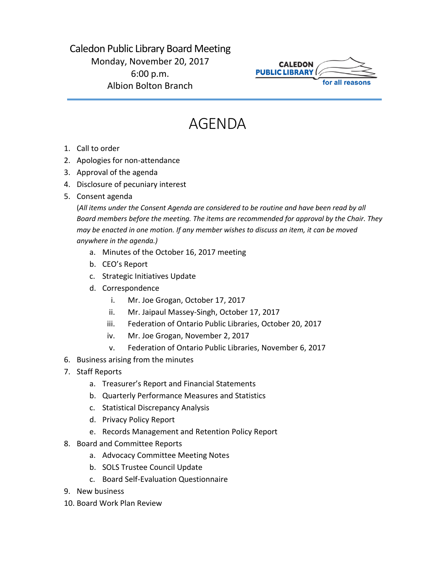## Caledon Public Library Board Meeting Monday, November 20, 2017 6:00 p.m. Albion Bolton Branch



## AGENDA

- 1. Call to order
- 2. Apologies for non-attendance
- 3. Approval of the agenda
- 4. Disclosure of pecuniary interest
- 5. Consent agenda

(*All items under the Consent Agenda are considered to be routine and have been read by all Board members before the meeting. The items are recommended for approval by the Chair. They may be enacted in one motion. If any member wishes to discuss an item, it can be moved anywhere in the agenda.)*

- a. Minutes of the October 16, 2017 meeting
- b. CEO's Report
- c. Strategic Initiatives Update
- d. Correspondence
	- i. Mr. Joe Grogan, October 17, 2017
	- ii. Mr. Jaipaul Massey-Singh, October 17, 2017
	- iii. Federation of Ontario Public Libraries, October 20, 2017
	- iv. Mr. Joe Grogan, November 2, 2017
	- v. Federation of Ontario Public Libraries, November 6, 2017
- 6. Business arising from the minutes
- 7. Staff Reports
	- a. Treasurer's Report and Financial Statements
	- b. Quarterly Performance Measures and Statistics
	- c. Statistical Discrepancy Analysis
	- d. Privacy Policy Report
	- e. Records Management and Retention Policy Report
- 8. Board and Committee Reports
	- a. Advocacy Committee Meeting Notes
	- b. SOLS Trustee Council Update
	- c. Board Self-Evaluation Questionnaire
- 9. New business
- 10. Board Work Plan Review